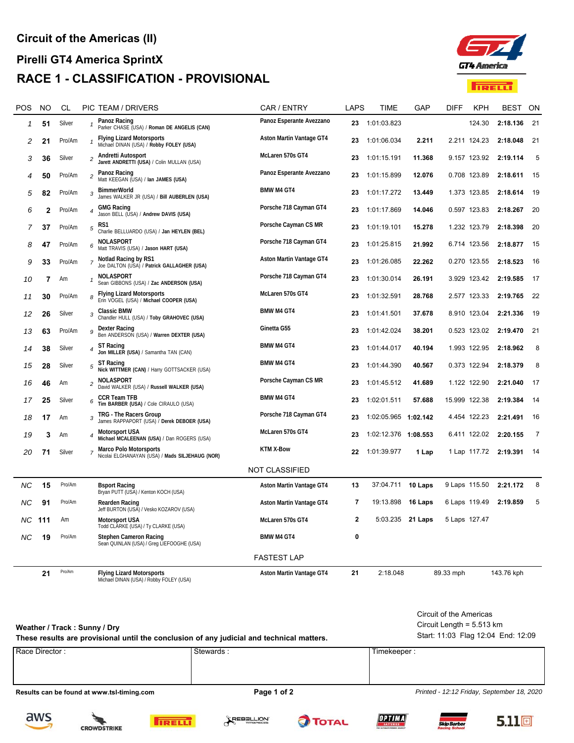

| POS                | NO  | CL     |                         | PIC TEAM / DRIVERS                                                               | CAR / ENTRY              | <b>LAPS</b> | TIME                 | GAP              | <b>DIFF</b>   | KPH          | BEST       | ON             |
|--------------------|-----|--------|-------------------------|----------------------------------------------------------------------------------|--------------------------|-------------|----------------------|------------------|---------------|--------------|------------|----------------|
| 1                  | 51  | Silver | -1                      | Panoz Racing<br>Parker CHASE (USA) / Roman DE ANGELIS (CAN)                      | Panoz Esperante Avezzano | 23          | 1:01:03.823          |                  |               | 124.30       | 2:18.136   | 21             |
| 2                  | 21  | Pro/Am | 1                       | <b>Flying Lizard Motorsports</b><br>Michael DINAN (USA) / Robby FOLEY (USA)      | Aston Martin Vantage GT4 | 23          | 1:01:06.034          | 2.211            |               | 2.211 124.23 | 2:18.048   | 21             |
| 3                  | 36  | Silver | $\overline{c}$          | Andretti Autosport<br>Jarett ANDRETTI (USA) / Colin MULLAN (USA)                 | McLaren 570s GT4         | 23          | 1:01:15.191          | 11.368           |               | 9.157 123.92 | 2:19.114   | 5              |
| 4                  | 50  | Pro/Am | $\overline{c}$          | Panoz Racing<br>Matt KEEGAN (USA) / Ian JAMES (USA)                              | Panoz Esperante Avezzano | 23          | 1:01:15.899          | 12.076           |               | 0.708 123.89 | 2:18.611   | 15             |
| 5                  | 82  | Pro/Am | 3                       | <b>BimmerWorld</b><br>James WALKER JR (USA) / Bill AUBERLEN (USA)                | <b>BMW M4 GT4</b>        | 23          | 1:01:17.272          | 13.449           |               | 1.373 123.85 | 2:18.614   | 19             |
| 6                  | 2   | Pro/Am | 4                       | <b>GMG Racing</b><br>Jason BELL (USA) / Andrew DAVIS (USA)                       | Porsche 718 Cayman GT4   | 23          | 1:01:17.869          | 14.046           |               | 0.597 123.83 | 2:18.267   | -20            |
| 7                  | 37  | Pro/Am | 5                       | RS1<br>Charlie BELLUARDO (USA) / Jan HEYLEN (BEL)                                | Porsche Cayman CS MR     | 23          | 1:01:19.101          | 15.278           |               | 1.232 123.79 | 2:18.398   | 20             |
| 8                  | 47  | Pro/Am | 6                       | NOLASPORT<br>Matt TRAVIS (USA) / Jason HART (USA)                                | Porsche 718 Cayman GT4   | 23          | 1:01:25.815          | 21.992           |               | 6.714 123.56 | 2:18.877   | 15             |
| 9                  | 33  | Pro/Am | $\overline{7}$          | Notlad Racing by RS1<br>Joe DALTON (USA) / Patrick GALLAGHER (USA)               | Aston Martin Vantage GT4 | 23          | 1:01:26.085          | 22.262           |               | 0.270 123.55 | 2:18.523   | -16            |
| 10                 | 7   | Am     | 1                       | <b>NOLASPORT</b><br>Sean GIBBONS (USA) / Zac ANDERSON (USA)                      | Porsche 718 Cayman GT4   | 23          | 1:01:30.014          | 26.191           |               | 3.929 123.42 | 2:19.585   | 17             |
| 11                 | 30  | Pro/Am | 8                       | <b>Flying Lizard Motorsports</b><br>Erin VOGEL (USA) / Michael COOPER (USA)      | McLaren 570s GT4         | 23          | 1:01:32.591          | 28.768           |               | 2.577 123.33 | 2:19.765   | 22             |
| 12                 | 26  | Silver | 3                       | <b>Classic BMW</b><br>Chandler HULL (USA) / Toby GRAHOVEC (USA)                  | <b>BMW M4 GT4</b>        | 23          | 1:01:41.501          | 37.678           |               | 8.910 123.04 | 2:21.336   | -19            |
| 13                 | 63  | Pro/Am | 9                       | <b>Dexter Racing</b><br>Ben ANDERSON (USA) / Warren DEXTER (USA)                 | Ginetta G55              | 23          | 1:01:42.024          | 38.201           |               | 0.523 123.02 | 2:19.470   | 21             |
| 14                 | 38  | Silver | 4                       | ST Racing<br>Jon MILLER (USA) / Samantha TAN (CAN)                               | <b>BMW M4 GT4</b>        | 23          | 1:01:44.017          | 40.194           |               | 1.993 122.95 | 2:18.962   | 8              |
| 15                 | 28  | Silver | 5                       | ST Racing<br>Nick WITTMER (CAN) / Harry GOTTSACKER (USA)                         | <b>BMW M4 GT4</b>        | 23          | 1:01:44.390          | 40.567           |               | 0.373 122.94 | 2:18.379   | 8              |
| 16                 | 46  | Am     | $\overline{\mathbf{c}}$ | <b>NOLASPORT</b><br>David WALKER (USA) / Russell WALKER (USA)                    | Porsche Cayman CS MR     | 23          | 1:01:45.512          | 41.689           |               | 1.122 122.90 | 2:21.040   | 17             |
| 17                 | 25  | Silver | 6                       | <b>CCR Team TFB</b><br>Tim BARBER (USA) / Cole CIRAULO (USA)                     | <b>BMW M4 GT4</b>        | 23          | 1:02:01.511          | 57.688           | 15.999 122.38 |              | 2:19.384   | -14            |
| 18                 | 17  | Am     | 3                       | TRG - The Racers Group<br>James RAPPAPORT (USA) / Derek DEBOER (USA)             | Porsche 718 Cayman GT4   | 23          | 1:02:05.965 1:02.142 |                  |               | 4.454 122.23 | 2:21.491   | 16             |
| 19                 | 3   | Am     |                         | <b>Motorsport USA</b><br>Michael MCALEENAN (USA) / Dan ROGERS (USA)              | McLaren 570s GT4         | 23          | 1:02:12.376 1:08.553 |                  |               | 6.411 122.02 | 2:20.155   | $\overline{7}$ |
| 20                 | 71  | Silver | $\boldsymbol{7}$        | <b>Marco Polo Motorsports</b><br>Nicolai ELGHANAYAN (USA) / Mads SILJEHAUG (NOR) | <b>KTM X-Bow</b>         | 22          | 1:01:39.977          | 1 Lap            |               | 1 Lap 117.72 | 2:19.391   | 14             |
|                    |     |        |                         |                                                                                  | <b>NOT CLASSIFIED</b>    |             |                      |                  |               |              |            |                |
| ΝC                 | 15  | Pro/Am |                         | <b>Bsport Racing</b><br>Bryan PUTT (USA) / Kenton KOCH (USA)                     | Aston Martin Vantage GT4 | 13          | 37:04.711            | 10 Laps          | 9 Laps 115.50 |              | 2:21.172   | 8              |
| ΝC                 | 91  | Pro/Am |                         | Rearden Racing<br>Jeff BURTON (USA) / Vesko KOZAROV (USA)                        | Aston Martin Vantage GT4 | 7           | 19:13.898            | 16 Laps          | 6 Laps 119.49 |              | 2:19.859   | 5              |
| ΝC                 | 111 | Am     |                         | <b>Motorsport USA</b><br>Todd CLARKE (USA) / Ty CLARKE (USA)                     | McLaren 570s GT4         | $\mathbf 2$ |                      | 5:03.235 21 Laps | 5 Laps 127.47 |              |            |                |
| ΝC                 | 19  | Pro/Am |                         | Stephen Cameron Racing<br>Sean QUINLAN (USA) / Greg LIEFOOGHE (USA)              | <b>BMW M4 GT4</b>        | 0           |                      |                  |               |              |            |                |
| <b>FASTEST LAP</b> |     |        |                         |                                                                                  |                          |             |                      |                  |               |              |            |                |
|                    | 21  | Pro/Am |                         | <b>Flying Lizard Motorsports</b><br>Michael DINAN (USA) / Robby FOLEY (USA)      | Aston Martin Vantage GT4 | 21          | 2:18.048             |                  | 89.33 mph     |              | 143.76 kph |                |

| Weather / Track: Sunny / Dry<br>These results are provisional until the conclusion of any judicial and technical matters. | Circuit of the Americas<br>Circuit Length = $5.513 \text{ km}$<br>Start: 11:03 Flag 12:04 End: 12:09 |             |  |  |  |
|---------------------------------------------------------------------------------------------------------------------------|------------------------------------------------------------------------------------------------------|-------------|--|--|--|
| Race Director:                                                                                                            | . Stewards:                                                                                          | Timekeeper: |  |  |  |

**Results can be found at www.tsl-timing.com Page 1 of 2 Page 1 of 2** *Printed - 12:12 Friday, September 18, 2020*